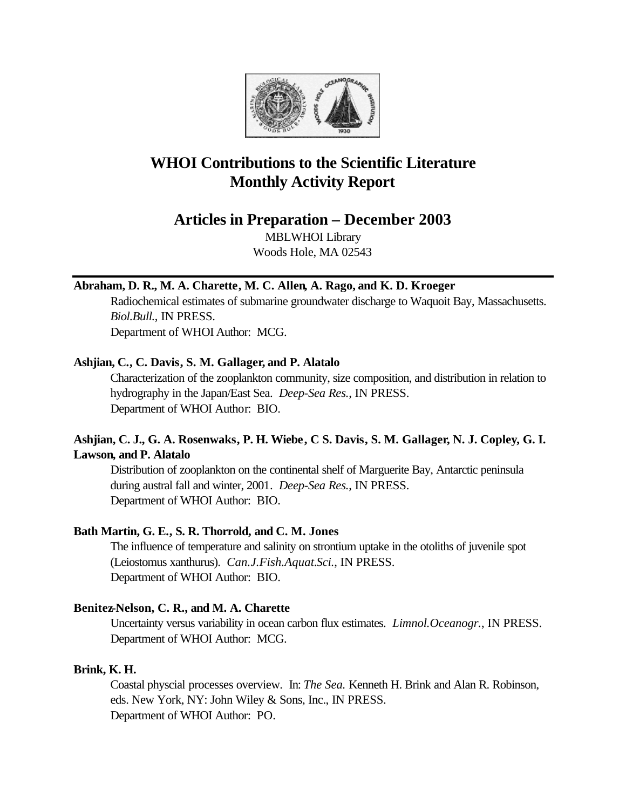

# **WHOI Contributions to the Scientific Literature Monthly Activity Report**

## **Articles in Preparation – December 2003**

MBLWHOI Library Woods Hole, MA 02543

## **Abraham, D. R., M. A. Charette, M. C. Allen, A. Rago, and K. D. Kroeger**

Radiochemical estimates of submarine groundwater discharge to Waquoit Bay, Massachusetts. *Biol.Bull.*, IN PRESS. Department of WHOI Author: MCG.

## **Ashjian, C., C. Davis, S. M. Gallager, and P. Alatalo**

Characterization of the zooplankton community, size composition, and distribution in relation to hydrography in the Japan/East Sea. *Deep-Sea Res.*, IN PRESS. Department of WHOI Author: BIO.

## **Ashjian, C. J., G. A. Rosenwaks, P. H. Wiebe, C S. Davis, S. M. Gallager, N. J. Copley, G. I. Lawson, and P. Alatalo**

Distribution of zooplankton on the continental shelf of Marguerite Bay, Antarctic peninsula during austral fall and winter, 2001. *Deep-Sea Res.*, IN PRESS. Department of WHOI Author: BIO.

## **Bath Martin, G. E., S. R. Thorrold, and C. M. Jones**

The influence of temperature and salinity on strontium uptake in the otoliths of juvenile spot (Leiostomus xanthurus). *Can.J.Fish.Aquat.Sci.*, IN PRESS. Department of WHOI Author: BIO.

## **Benitez-Nelson, C. R., and M. A. Charette**

Uncertainty versus variability in ocean carbon flux estimates. *Limnol.Oceanogr.*, IN PRESS. Department of WHOI Author: MCG.

## **Brink, K. H.**

Coastal physcial processes overview. In: *The Sea.* Kenneth H. Brink and Alan R. Robinson, eds. New York, NY: John Wiley & Sons, Inc., IN PRESS. Department of WHOI Author: PO.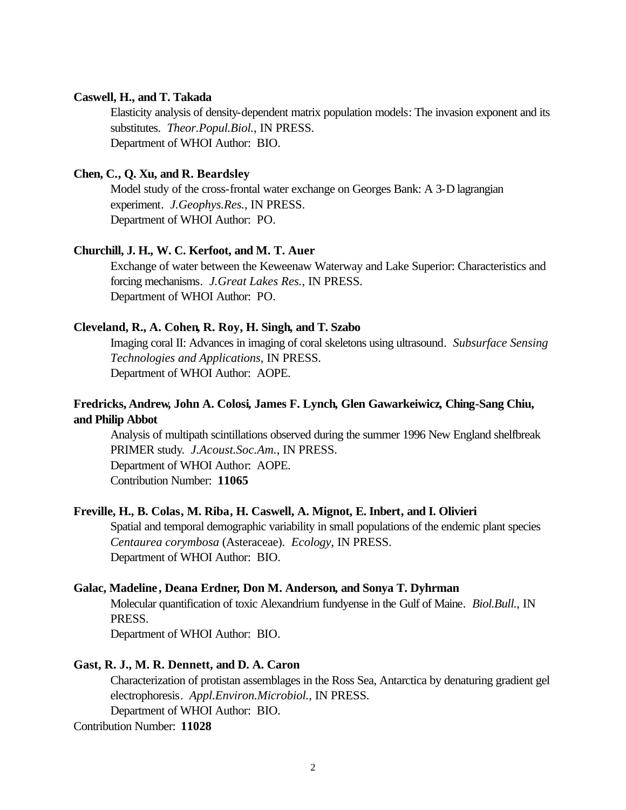### **Caswell, H., and T. Takada**

Elasticity analysis of density-dependent matrix population models: The invasion exponent and its substitutes. *Theor.Popul.Biol.*, IN PRESS. Department of WHOI Author: BIO.

### **Chen, C., Q. Xu, and R. Beardsley**

Model study of the cross-frontal water exchange on Georges Bank: A 3-D lagrangian experiment. *J.Geophys.Res.*, IN PRESS. Department of WHOI Author: PO.

#### **Churchill, J. H., W. C. Kerfoot, and M. T. Auer**

Exchange of water between the Keweenaw Waterway and Lake Superior: Characteristics and forcing mechanisms. *J.Great Lakes Res.*, IN PRESS. Department of WHOI Author: PO.

### **Cleveland, R., A. Cohen, R. Roy, H. Singh, and T. Szabo**

Imaging coral II: Advances in imaging of coral skeletons using ultrasound. *Subsurface Sensing Technologies and Applications*, IN PRESS. Department of WHOI Author: AOPE.

## **Fredricks, Andrew, John A. Colosi, James F. Lynch, Glen Gawarkeiwicz, Ching-Sang Chiu, and Philip Abbot**

Analysis of multipath scintillations observed during the summer 1996 New England shelfbreak PRIMER study. *J.Acoust.Soc.Am.*, IN PRESS. Department of WHOI Author: AOPE. Contribution Number: **11065**

### **Freville, H., B. Colas, M. Riba, H. Caswell, A. Mignot, E. Inbert, and I. Olivieri**

Spatial and temporal demographic variability in small populations of the endemic plant species *Centaurea corymbosa* (Asteraceae). *Ecology*, IN PRESS. Department of WHOI Author: BIO.

#### **Galac, Madeline , Deana Erdner, Don M. Anderson, and Sonya T. Dyhrman**

Molecular quantification of toxic Alexandrium fundyense in the Gulf of Maine. *Biol.Bull.*, IN PRESS.

Department of WHOI Author: BIO.

### **Gast, R. J., M. R. Dennett, and D. A. Caron**

Characterization of protistan assemblages in the Ross Sea, Antarctica by denaturing gradient gel electrophoresis. *Appl.Environ.Microbiol.*, IN PRESS.

Department of WHOI Author: BIO.

Contribution Number: **11028**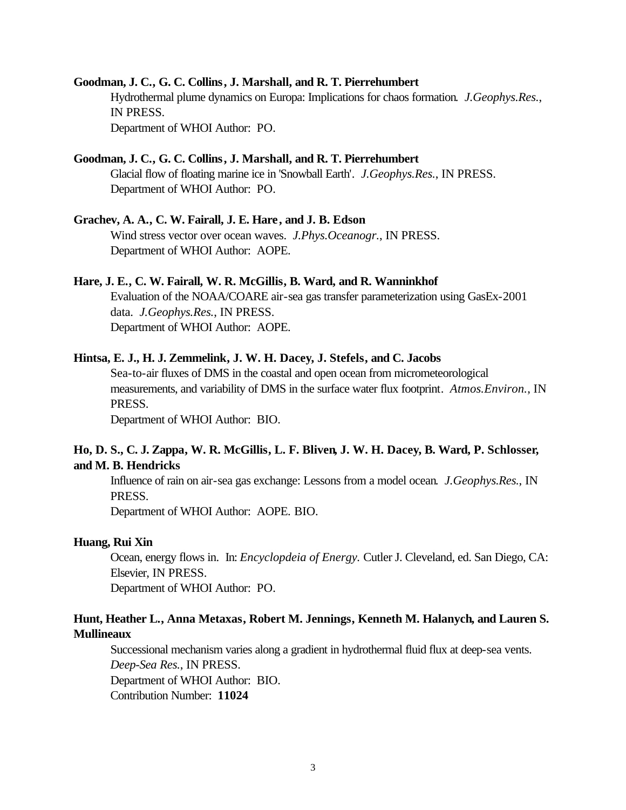## **Goodman, J. C., G. C. Collins, J. Marshall, and R. T. Pierrehumbert**

Hydrothermal plume dynamics on Europa: Implications for chaos formation. *J.Geophys.Res.*, IN PRESS. Department of WHOI Author: PO.

### **Goodman, J. C., G. C. Collins, J. Marshall, and R. T. Pierrehumbert**

Glacial flow of floating marine ice in 'Snowball Earth'. *J.Geophys.Res.*, IN PRESS. Department of WHOI Author: PO.

#### **Grachev, A. A., C. W. Fairall, J. E. Hare, and J. B. Edson**

Wind stress vector over ocean waves. *J.Phys.Oceanogr.*, IN PRESS. Department of WHOI Author: AOPE.

### **Hare, J. E., C. W. Fairall, W. R. McGillis, B. Ward, and R. Wanninkhof**

Evaluation of the NOAA/COARE air-sea gas transfer parameterization using GasEx-2001 data. *J.Geophys.Res.*, IN PRESS. Department of WHOI Author: AOPE.

#### **Hintsa, E. J., H. J. Zemmelink, J. W. H. Dacey, J. Stefels, and C. Jacobs**

Sea-to-air fluxes of DMS in the coastal and open ocean from micrometeorological measurements, and variability of DMS in the surface water flux footprint. *Atmos.Environ.*, IN PRESS.

Department of WHOI Author: BIO.

## **Ho, D. S., C. J. Zappa, W. R. McGillis, L. F. Bliven, J. W. H. Dacey, B. Ward, P. Schlosser, and M. B. Hendricks**

Influence of rain on air-sea gas exchange: Lessons from a model ocean. *J.Geophys.Res.*, IN PRESS.

Department of WHOI Author: AOPE. BIO.

#### **Huang, Rui Xin**

Ocean, energy flows in. In: *Encyclopdeia of Energy.* Cutler J. Cleveland, ed. San Diego, CA: Elsevier, IN PRESS.

Department of WHOI Author: PO.

## **Hunt, Heather L., Anna Metaxas, Robert M. Jennings, Kenneth M. Halanych, and Lauren S. Mullineaux**

Successional mechanism varies along a gradient in hydrothermal fluid flux at deep-sea vents. *Deep-Sea Res.*, IN PRESS.

Department of WHOI Author: BIO.

Contribution Number: **11024**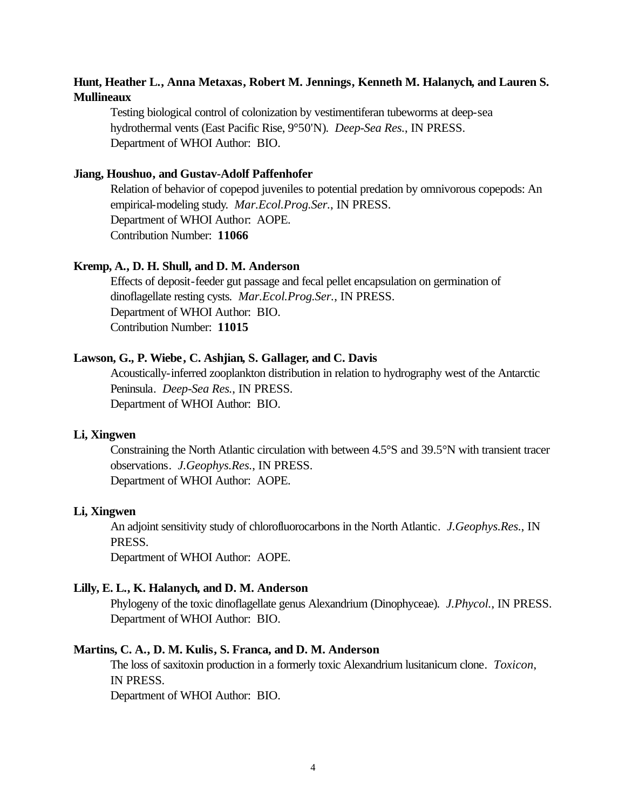## **Hunt, Heather L., Anna Metaxas, Robert M. Jennings, Kenneth M. Halanych, and Lauren S. Mullineaux**

Testing biological control of colonization by vestimentiferan tubeworms at deep-sea hydrothermal vents (East Pacific Rise, 9°50'N). *Deep-Sea Res.*, IN PRESS. Department of WHOI Author: BIO.

### **Jiang, Houshuo, and Gustav-Adolf Paffenhofer**

Relation of behavior of copepod juveniles to potential predation by omnivorous copepods: An empirical-modeling study. *Mar.Ecol.Prog.Ser.*, IN PRESS. Department of WHOI Author: AOPE. Contribution Number: **11066**

### **Kremp, A., D. H. Shull, and D. M. Anderson**

Effects of deposit-feeder gut passage and fecal pellet encapsulation on germination of dinoflagellate resting cysts. *Mar.Ecol.Prog.Ser.*, IN PRESS. Department of WHOI Author: BIO. Contribution Number: **11015**

### **Lawson, G., P. Wiebe, C. Ashjian, S. Gallager, and C. Davis**

Acoustically-inferred zooplankton distribution in relation to hydrography west of the Antarctic Peninsula. *Deep-Sea Res.*, IN PRESS. Department of WHOI Author: BIO.

#### **Li, Xingwen**

Constraining the North Atlantic circulation with between 4.5°S and 39.5°N with transient tracer observations. *J.Geophys.Res.*, IN PRESS. Department of WHOI Author: AOPE.

#### **Li, Xingwen**

An adjoint sensitivity study of chlorofluorocarbons in the North Atlantic. *J.Geophys.Res.*, IN PRESS.

Department of WHOI Author: AOPE.

#### **Lilly, E. L., K. Halanych, and D. M. Anderson**

Phylogeny of the toxic dinoflagellate genus Alexandrium (Dinophyceae). *J.Phycol.*, IN PRESS. Department of WHOI Author: BIO.

### **Martins, C. A., D. M. Kulis, S. Franca, and D. M. Anderson**

The loss of saxitoxin production in a formerly toxic Alexandrium lusitanicum clone. *Toxicon*, IN PRESS.

Department of WHOI Author: BIO.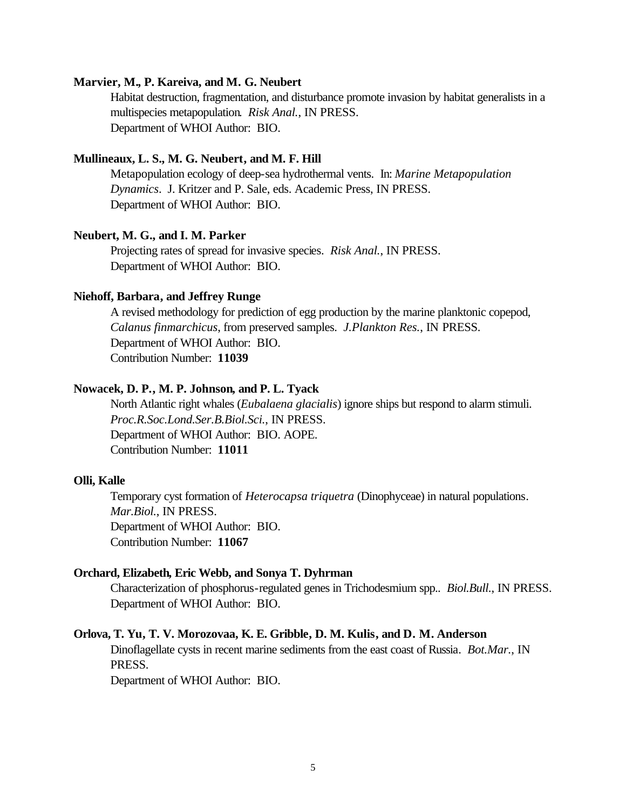## **Marvier, M., P. Kareiva, and M. G. Neubert**

Habitat destruction, fragmentation, and disturbance promote invasion by habitat generalists in a multispecies metapopulation. *Risk Anal.*, IN PRESS. Department of WHOI Author: BIO.

### **Mullineaux, L. S., M. G. Neubert, and M. F. Hill**

Metapopulation ecology of deep-sea hydrothermal vents. In: *Marine Metapopulation Dynamics*. J. Kritzer and P. Sale, eds. Academic Press, IN PRESS. Department of WHOI Author: BIO.

### **Neubert, M. G., and I. M. Parker**

Projecting rates of spread for invasive species. *Risk Anal.*, IN PRESS. Department of WHOI Author: BIO.

#### **Niehoff, Barbara, and Jeffrey Runge**

A revised methodology for prediction of egg production by the marine planktonic copepod, *Calanus finmarchicus*, from preserved samples. *J.Plankton Res.*, IN PRESS. Department of WHOI Author: BIO. Contribution Number: **11039**

### **Nowacek, D. P., M. P. Johnson, and P. L. Tyack**

North Atlantic right whales (*Eubalaena glacialis*) ignore ships but respond to alarm stimuli. *Proc.R.Soc.Lond.Ser.B.Biol.Sci.*, IN PRESS. Department of WHOI Author: BIO. AOPE. Contribution Number: **11011**

### **Olli, Kalle**

Temporary cyst formation of *Heterocapsa triquetra* (Dinophyceae) in natural populations. *Mar.Biol.*, IN PRESS. Department of WHOI Author: BIO. Contribution Number: **11067**

### **Orchard, Elizabeth, Eric Webb, and Sonya T. Dyhrman**

Characterization of phosphorus-regulated genes in Trichodesmium spp.. *Biol.Bull.*, IN PRESS. Department of WHOI Author: BIO.

#### **Orlova, T. Yu, T. V. Morozovaa, K. E. Gribble, D. M. Kulis, and D. M. Anderson**

Dinoflagellate cysts in recent marine sediments from the east coast of Russia. *Bot.Mar.*, IN PRESS.

Department of WHOI Author: BIO.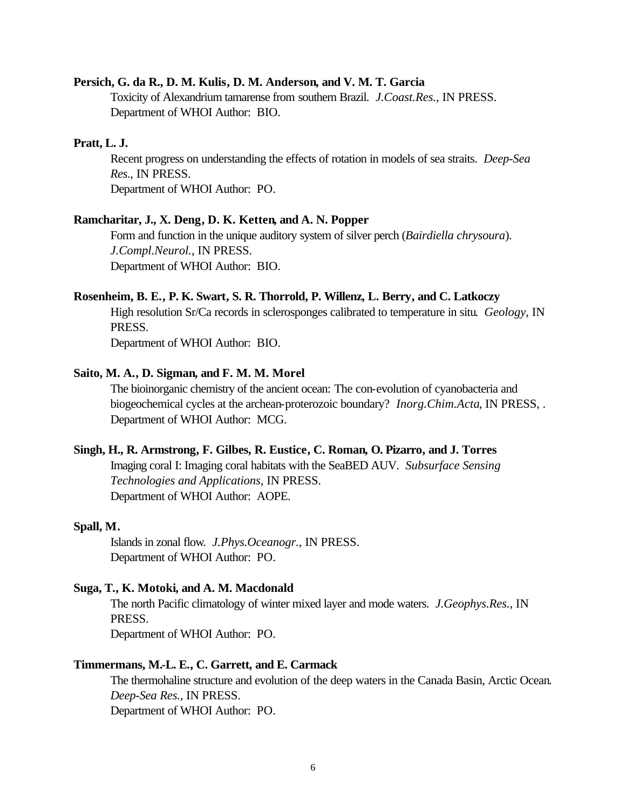#### **Persich, G. da R., D. M. Kulis, D. M. Anderson, and V. M. T. Garcia**

Toxicity of Alexandrium tamarense from southern Brazil. *J.Coast.Res.*, IN PRESS. Department of WHOI Author: BIO.

#### **Pratt, L. J.**

Recent progress on understanding the effects of rotation in models of sea straits. *Deep-Sea Res.*, IN PRESS. Department of WHOI Author: PO.

#### **Ramcharitar, J., X. Deng, D. K. Ketten, and A. N. Popper**

Form and function in the unique auditory system of silver perch (*Bairdiella chrysoura*). *J.Compl.Neurol.*, IN PRESS. Department of WHOI Author: BIO.

#### **Rosenheim, B. E., P. K. Swart, S. R. Thorrold, P. Willenz, L. Berry, and C. Latkoczy**

High resolution Sr/Ca records in sclerosponges calibrated to temperature in situ. *Geology*, IN PRESS.

Department of WHOI Author: BIO.

### **Saito, M. A., D. Sigman, and F. M. M. Morel**

The bioinorganic chemistry of the ancient ocean: The con-evolution of cyanobacteria and biogeochemical cycles at the archean-proterozoic boundary? *Inorg.Chim.Acta*, IN PRESS, . Department of WHOI Author: MCG.

#### **Singh, H., R. Armstrong, F. Gilbes, R. Eustice, C. Roman, O. Pizarro, and J. Torres**

Imaging coral I: Imaging coral habitats with the SeaBED AUV. *Subsurface Sensing Technologies and Applications*, IN PRESS. Department of WHOI Author: AOPE.

#### **Spall, M.**

Islands in zonal flow. *J.Phys.Oceanogr.*, IN PRESS. Department of WHOI Author: PO.

#### **Suga, T., K. Motoki, and A. M. Macdonald**

The north Pacific climatology of winter mixed layer and mode waters. *J.Geophys.Res.*, IN PRESS.

Department of WHOI Author: PO.

### **Timmermans, M.-L. E., C. Garrett, and E. Carmack**

The thermohaline structure and evolution of the deep waters in the Canada Basin, Arctic Ocean. *Deep-Sea Res.*, IN PRESS. Department of WHOI Author: PO.

6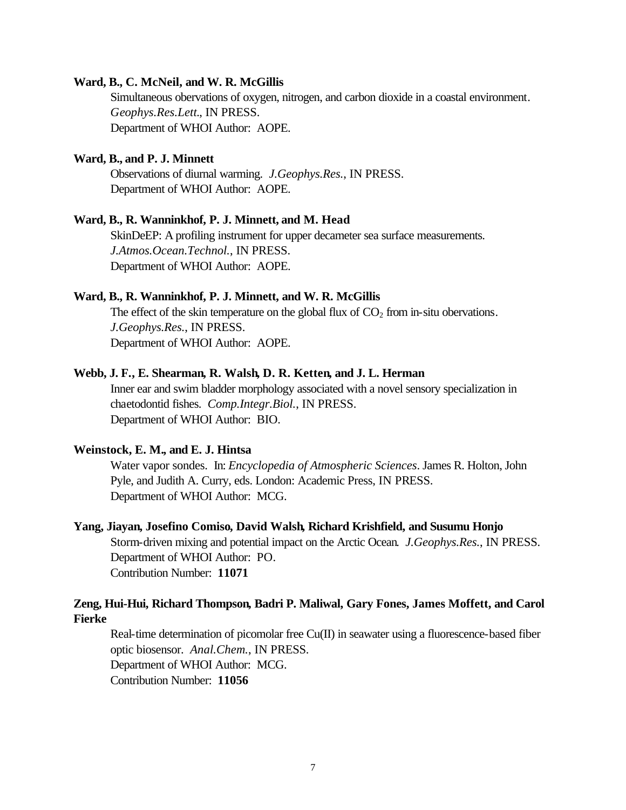#### **Ward, B., C. McNeil, and W. R. McGillis**

Simultaneous obervations of oxygen, nitrogen, and carbon dioxide in a coastal environment. *Geophys.Res.Lett.*, IN PRESS. Department of WHOI Author: AOPE.

### **Ward, B., and P. J. Minnett**

Observations of diurnal warming. *J.Geophys.Res.*, IN PRESS. Department of WHOI Author: AOPE.

#### **Ward, B., R. Wanninkhof, P. J. Minnett, and M. Head**

SkinDeEP: A profiling instrument for upper decameter sea surface measurements. *J.Atmos.Ocean.Technol.*, IN PRESS. Department of WHOI Author: AOPE.

#### **Ward, B., R. Wanninkhof, P. J. Minnett, and W. R. McGillis**

The effect of the skin temperature on the global flux of  $CO<sub>2</sub>$  from in-situ obervations. *J.Geophys.Res.*, IN PRESS. Department of WHOI Author: AOPE.

#### **Webb, J. F., E. Shearman, R. Walsh, D. R. Ketten, and J. L. Herman**

Inner ear and swim bladder morphology associated with a novel sensory specialization in chaetodontid fishes. *Comp.Integr.Biol.*, IN PRESS. Department of WHOI Author: BIO.

#### **Weinstock, E. M., and E. J. Hintsa**

Water vapor sondes. In: *Encyclopedia of Atmospheric Sciences*. James R. Holton, John Pyle, and Judith A. Curry, eds. London: Academic Press, IN PRESS. Department of WHOI Author: MCG.

#### **Yang, Jiayan, Josefino Comiso, David Walsh, Richard Krishfield, and Susumu Honjo**

Storm-driven mixing and potential impact on the Arctic Ocean. *J.Geophys.Res.*, IN PRESS. Department of WHOI Author: PO. Contribution Number: **11071**

## **Zeng, Hui-Hui, Richard Thompson, Badri P. Maliwal, Gary Fones, James Moffett, and Carol Fierke**

Real-time determination of picomolar free  $Cu(II)$  in seawater using a fluorescence-based fiber optic biosensor. *Anal.Chem.*, IN PRESS. Department of WHOI Author: MCG. Contribution Number: **11056**